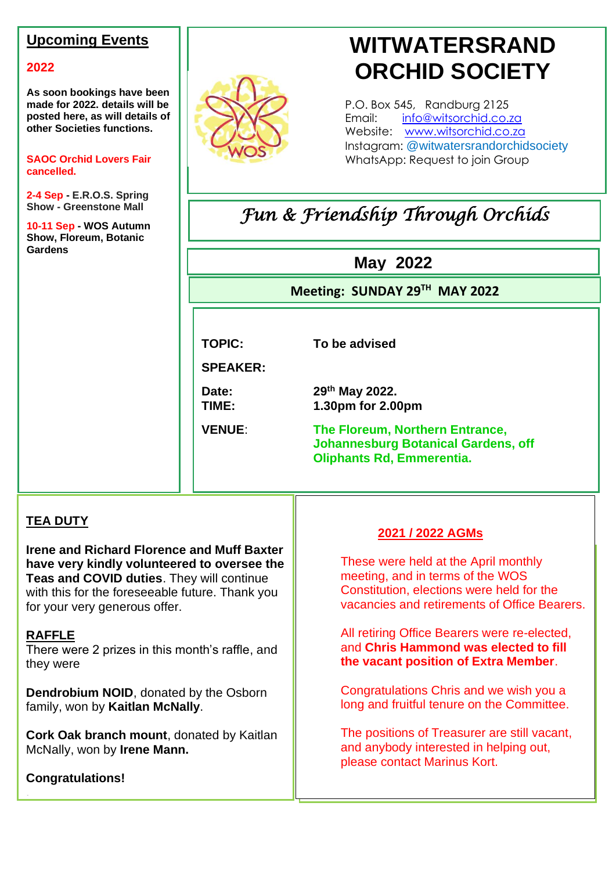### **Upcoming Events**

#### **2022**

**As soon bookings have been made for 2022. details will be posted here, as will details of other Societies functions.**

**SAOC Orchid Lovers Fair cancelled.**

**2-4 Sep - E.R.O.S. Spring Show - Greenstone Mall**

**10-11 Sep - WOS Autumn Show, Floreum, Botanic Gardens**



# **WITWATERSRAND ORCHID SOCIETY**

P.O. Box 545, Randburg 2125 Email: [info@witsorchid.co.za](mailto:info@witsorchid.co.za) Website: [www.witsorchid.co.za](http://www.witsorchid.co.za/) Instagram: @witwatersrandorchidsociety WhatsApp: Request to join Group

# *Fun & Friendship Through Orchids*

# **May 2022**

**Meeting: SUNDAY 29 TH MAY 2022 2022**

**TOPIC: To be advised**

**SPEAKER:**

Date:

**th May 2022. TIME: 1.30pm for 2.00pm**

**Oliphants Rd, Emmerentia. VENUE**: **The Floreum, Northern Entrance, Johannesburg Botanical Gardens, off** 

**EM**

#### **TEA DUTY**

**Irene and Richard Florence and Muff Baxter have very kindly volunteered to oversee the Teas and COVID duties**. They will continue with this for the foreseeable future. Thank you for your very generous offer.

#### **RAFFLE**

There were 2 prizes in this month's raffle, and they were

**Dendrobium NOID**, donated by the Osborn family, won by **Kaitlan McNally**.

**Cork Oak branch mount**, donated by Kaitlan McNally, won by **Irene Mann.**

**Congratulations!**

.

#### **2021 / 2022 AGMs**

These were held at the April monthly meeting, and in terms of the WOS Constitution, elections were held for the vacancies and retirements of Office Bearers.

All retiring Office Bearers were re-elected, and **Chris Hammond was elected to fill the vacant position of Extra Member**.

Congratulations Chris and we wish you a long and fruitful tenure on the Committee.

The positions of Treasurer are still vacant, and anybody interested in helping out, please contact Marinus Kort.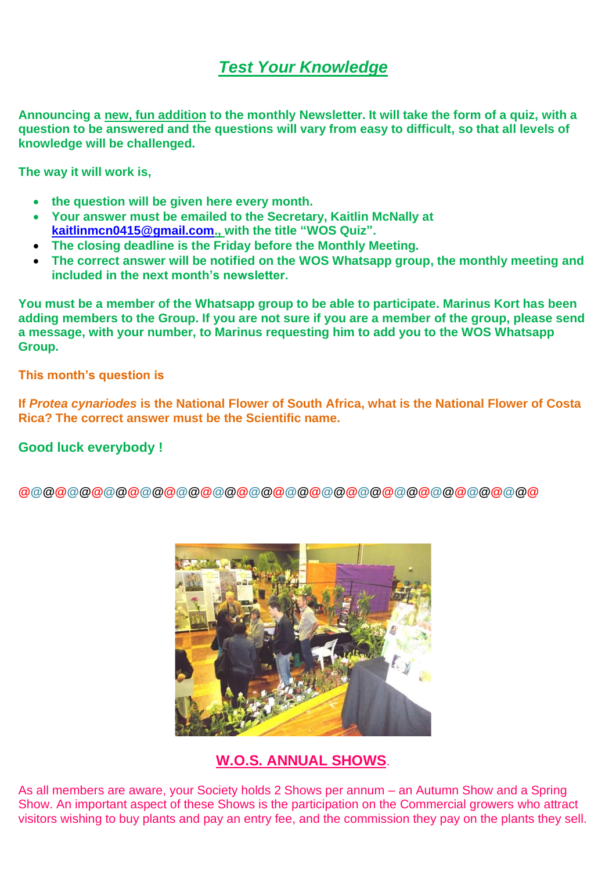# *Test Your Knowledge*

**Announcing a new, fun addition to the monthly Newsletter. It will take the form of a quiz, with a question to be answered and the questions will vary from easy to difficult, so that all levels of knowledge will be challenged.**

**The way it will work is,**

- **the question will be given here every month.**
- **Your answer must be emailed to the Secretary, Kaitlin McNally at [kaitlinmcn0415@gmail.com.](mailto:kaitlinmcn0415@gmail.com), with the title "WOS Quiz".**
- **The closing deadline is the Friday before the Monthly Meeting.**
- **The correct answer will be notified on the WOS Whatsapp group, the monthly meeting and included in the next month's newsletter.**

**You must be a member of the Whatsapp group to be able to participate. Marinus Kort has been adding members to the Group. If you are not sure if you are a member of the group, please send a message, with your number, to Marinus requesting him to add you to the WOS Whatsapp Group.**

**This month's question is**

**If** *Protea cynariodes* **is the National Flower of South Africa, what is the National Flower of Costa Rica? The correct answer must be the Scientific name.**

#### **Good luck everybody !**

**@@@@@@@@@@@@@@@@@@@@@@@@@@@@@@@@@@@@@@@@@@@**



**W.O.S. ANNUAL SHOWS**.

As all members are aware, your Society holds 2 Shows per annum – an Autumn Show and a Spring Show. An important aspect of these Shows is the participation on the Commercial growers who attract visitors wishing to buy plants and pay an entry fee, and the commission they pay on the plants they sell.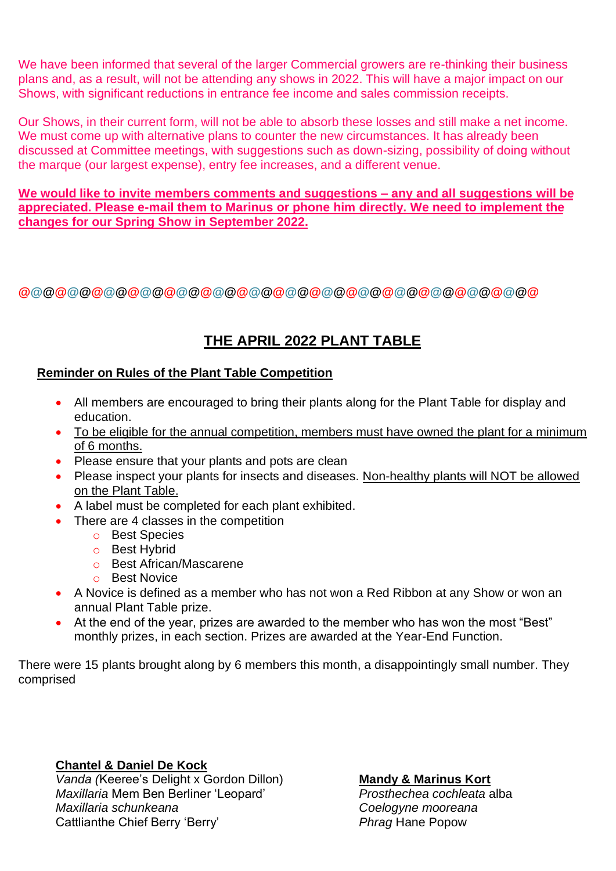We have been informed that several of the larger Commercial growers are re-thinking their business plans and, as a result, will not be attending any shows in 2022. This will have a major impact on our Shows, with significant reductions in entrance fee income and sales commission receipts.

Our Shows, in their current form, will not be able to absorb these losses and still make a net income. We must come up with alternative plans to counter the new circumstances. It has already been discussed at Committee meetings, with suggestions such as down-sizing, possibility of doing without the marque (our largest expense), entry fee increases, and a different venue.

**We would like to invite members comments and suggestions – any and all suggestions will be appreciated. Please e-mail them to Marinus or phone him directly. We need to implement the changes for our Spring Show in September 2022.**

**@@@@@@@@@@@@@@@@@@@@@@@@@@@@@@@@@@@@@@@@@@@**

## **THE APRIL 2022 PLANT TABLE**

#### **Reminder on Rules of the Plant Table Competition**

- All members are encouraged to bring their plants along for the Plant Table for display and education.
- To be eligible for the annual competition, members must have owned the plant for a minimum of 6 months.
- Please ensure that your plants and pots are clean
- Please inspect your plants for insects and diseases. Non-healthy plants will NOT be allowed on the Plant Table.
- A label must be completed for each plant exhibited.
- There are 4 classes in the competition
	- o Best Species
	- o Best Hybrid
	- o Best African/Mascarene
	- o Best Novice
- A Novice is defined as a member who has not won a Red Ribbon at any Show or won an annual Plant Table prize.
- At the end of the year, prizes are awarded to the member who has won the most "Best" monthly prizes, in each section. Prizes are awarded at the Year-End Function.

There were 15 plants brought along by 6 members this month, a disappointingly small number. They comprised

#### **Chantel & Daniel De Kock**

*Vanda (*Keeree's Delight x Gordon Dillon) *Maxillaria* Mem Ben Berliner 'Leopard' *Maxillaria schunkeana* Cattlianthe Chief Berry 'Berry'

#### **Mandy & Marinus Kort**

*Prosthechea cochleata* alba *Coelogyne mooreana Phrag* Hane Popow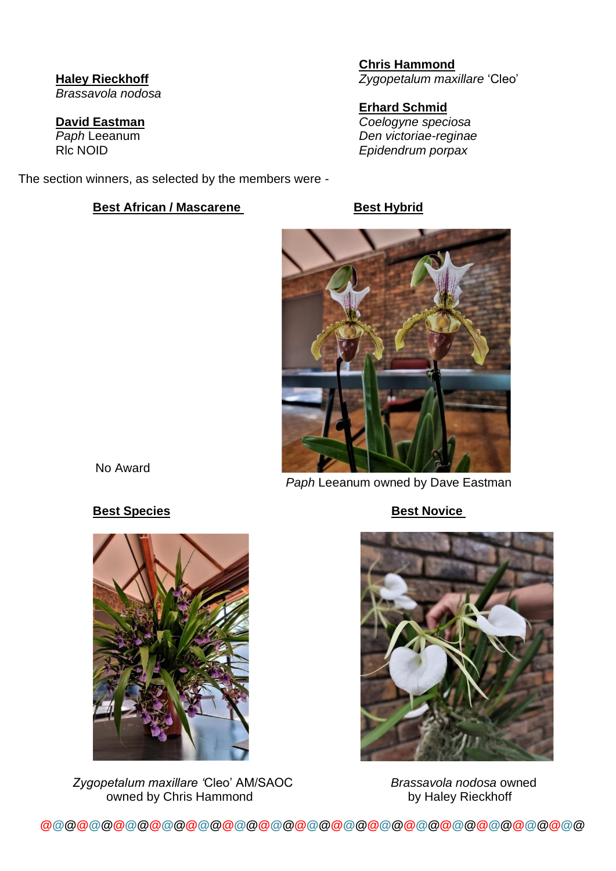**Haley Rieckhoff** *Brassavola nodosa*

**David Eastman** *Paph* Leeanum Rlc NOID

The section winners, as selected by the members were -

#### **Best African / Mascarene Best Hybrid**

**Chris Hammond** *Zygopetalum maxillare* 'Cleo'

**Erhard Schmid** *Coelogyne speciosa Den victoriae-reginae Epidendrum porpax*



#### **Best Species** Best Novice

No Award

 *Zygopetalum maxillare '*Cleo' AM/SAOC *Brassavola nodosa* owned owned by Chris Hammond by Haley Rieckhoff



**@@@@@@@@@@@@@@@@@@@@@@@@@@@@@@@@@@@@@@@@@@@@@**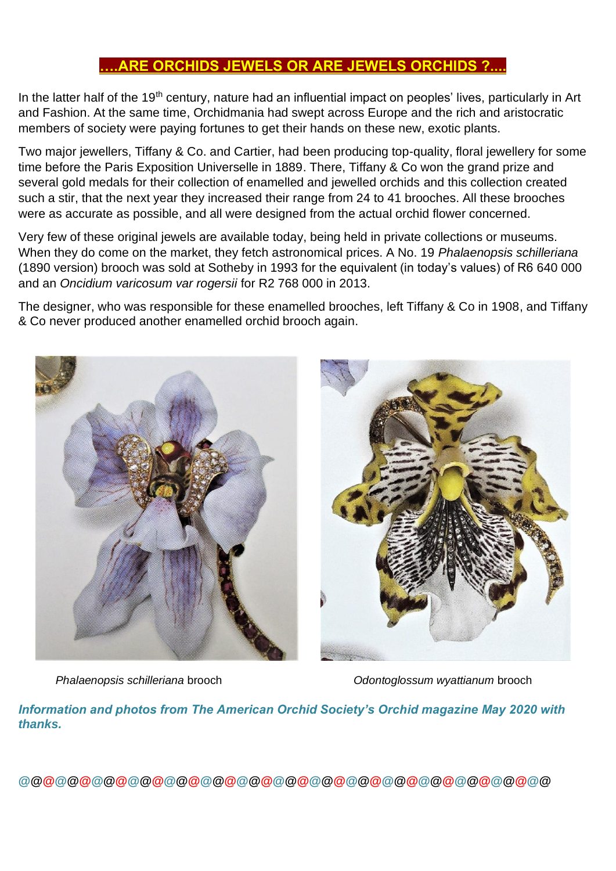#### **….ARE ORCHIDS JEWELS OR ARE JEWELS ORCHIDS ?....**

In the latter half of the 19<sup>th</sup> century, nature had an influential impact on peoples' lives, particularly in Art and Fashion. At the same time, Orchidmania had swept across Europe and the rich and aristocratic members of society were paying fortunes to get their hands on these new, exotic plants.

Two major jewellers, Tiffany & Co. and Cartier, had been producing top-quality, floral jewellery for some time before the Paris Exposition Universelle in 1889. There, Tiffany & Co won the grand prize and several gold medals for their collection of enamelled and jewelled orchids and this collection created such a stir, that the next year they increased their range from 24 to 41 brooches. All these brooches were as accurate as possible, and all were designed from the actual orchid flower concerned.

Very few of these original jewels are available today, being held in private collections or museums. When they do come on the market, they fetch astronomical prices. A No. 19 *Phalaenopsis schilleriana* (1890 version) brooch was sold at Sotheby in 1993 for the equivalent (in today's values) of R6 640 000 and an *Oncidium varicosum var rogersii* for R2 768 000 in 2013.

The designer, who was responsible for these enamelled brooches, left Tiffany & Co in 1908, and Tiffany & Co never produced another enamelled orchid brooch again.



*Phalaenopsis schilleriana* brooch *Odontoglossum wyattianum* brooch

*Information and photos from The American Orchid Society's Orchid magazine May 2020 with thanks.*

**@@@@@@@@@@@@@@@@@@@@@@@@@@@@@@@@@@@@@@@@@@@@**